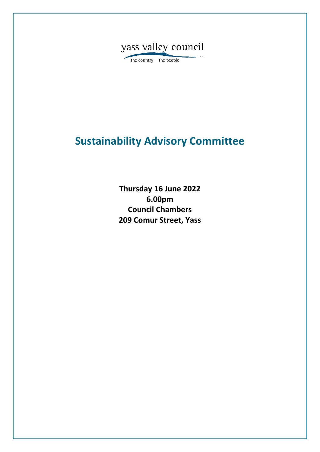

the country the people

# **Sustainability Advisory Committee**

**Thursday 16 June 2022 6.00pm Council Chambers 209 Comur Street, Yass**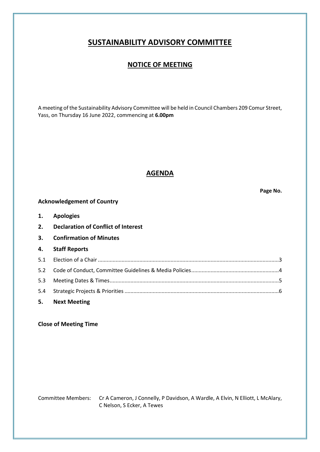## **SUSTAINABILITY ADVISORY COMMITTEE**

### **NOTICE OF MEETING**

A meeting of the Sustainability Advisory Committee will be held in Council Chambers 209 Comur Street, Yass, on Thursday 16 June 2022, commencing at **6.00pm**

### **AGENDA**

**Page No.**

### **Acknowledgement of Country**

| 1. | <b>Apologies</b> |
|----|------------------|
|    |                  |

- **2. Declaration of Conflict of Interest**
- **3. Confirmation of Minutes**

#### **4. Staff Reports**

| 5. Next Meeting |  |
|-----------------|--|
|                 |  |
|                 |  |
|                 |  |
|                 |  |

### **Close of Meeting Time**

Committee Members: Cr A Cameron, J Connelly, P Davidson, A Wardle, A Elvin, N Elliott, L McAlary, C Nelson, S Ecker, A Tewes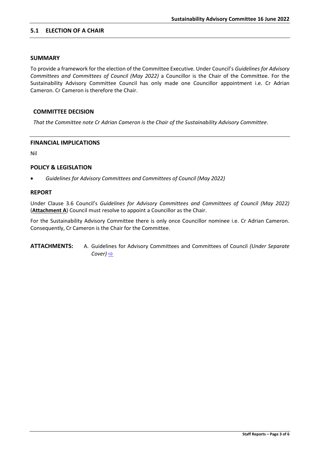#### <span id="page-2-0"></span>**5.1 ELECTION OF A CHAIR**

#### **SUMMARY**

To provide a framework for the election of the Committee Executive. Under Council's *Guidelines for Advisory Committees and Committees of Council (May 2022)* a Councillor is the Chair of the Committee. For the Sustainability Advisory Committee Council has only made one Councillor appointment i.e. Cr Adrian Cameron. Cr Cameron is therefore the Chair.

#### **COMMITTEE DECISION**

*That the Committee note Cr Adrian Cameron is the Chair of the Sustainability Advisory Committee*.

#### **FINANCIAL IMPLICATIONS**

Nil

#### **POLICY & LEGISLATION**

• *Guidelines for Advisory Committees and Committees of Council (May 2022)*

#### **REPORT**

Under Clause 3.6 Council's *Guidelines for Advisory Committees and Committees of Council (May 2022)* (**Attachment A**) Council must resolve to appoint a Councillor as the Chair.

For the Sustainability Advisory Committee there is only once Councillor nominee i.e. Cr Adrian Cameron. Consequently, Cr Cameron is the Chair for the Committee.

**ATTACHMENTS:** A. Guidelines for Advisory Committees and Committees of Council *(Under Separate Cover)* [⇨](../../../RedirectToInvalidFileName.aspx?FileName=SACCC_16062022_ATT_697_EXCLUDED.PDF#PAGE=3)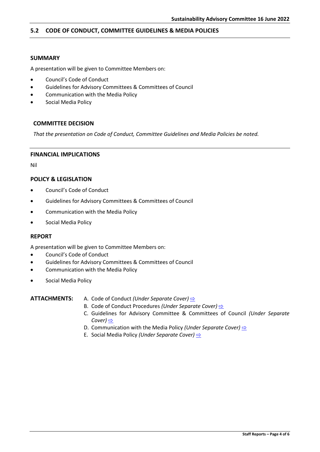#### <span id="page-3-0"></span>**5.2 CODE OF CONDUCT, COMMITTEE GUIDELINES & MEDIA POLICIES**

#### **SUMMARY**

A presentation will be given to Committee Members on:

- Council's Code of Conduct
- Guidelines for Advisory Committees & Committees of Council
- Communication with the Media Policy
- Social Media Policy

#### **COMMITTEE DECISION**

*That the presentation on Code of Conduct, Committee Guidelines and Media Policies be noted.*

#### **FINANCIAL IMPLICATIONS**

Nil

#### **POLICY & LEGISLATION**

- Council's Code of Conduct
- Guidelines for Advisory Committees & Committees of Council
- Communication with the Media Policy
- Social Media Policy

#### **REPORT**

A presentation will be given to Committee Members on:

- Council's Code of Conduct
- Guidelines for Advisory Committees & Committees of Council
- Communication with the Media Policy
- Social Media Policy

#### **ATTACHMENTS:** A. Code of Conduct *(Under Separate Cover)* [⇨](../../../RedirectToInvalidFileName.aspx?FileName=SACCC_16062022_ATT_697_EXCLUDED.PDF#PAGE=46)

- B. Code of Conduct Procedures *(Under Separate Cover)*  $\Rightarrow$
- C. Guidelines for Advisory Committee & Committees of Council *(Under Separate Cover)* [⇨](../../../RedirectToInvalidFileName.aspx?FileName=SACCC_16062022_ATT_697_EXCLUDED.PDF#PAGE=160)
- D. Communication with the Media Policy *(Under Separate Cover)* **[⇨](../../../RedirectToInvalidFileName.aspx?FileName=SACCC_16062022_ATT_697_EXCLUDED.PDF#PAGE=203)**
- E. Social Media Policy *(Under Separate Cover)* [⇨](../../../RedirectToInvalidFileName.aspx?FileName=SACCC_16062022_ATT_697_EXCLUDED.PDF#PAGE=206)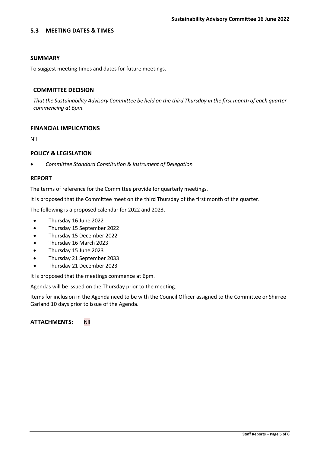#### <span id="page-4-0"></span>**5.3 MEETING DATES & TIMES**

#### **SUMMARY**

To suggest meeting times and dates for future meetings.

#### **COMMITTEE DECISION**

*That the Sustainability Advisory Committee be held on the third Thursday in the first month of each quarter commencing at 6pm.* 

#### **FINANCIAL IMPLICATIONS**

Nil

#### **POLICY & LEGISLATION**

• *Committee Standard Constitution & Instrument of Delegation*

#### **REPORT**

The terms of reference for the Committee provide for quarterly meetings.

It is proposed that the Committee meet on the third Thursday of the first month of the quarter.

The following is a proposed calendar for 2022 and 2023.

- Thursday 16 June 2022
- Thursday 15 September 2022
- Thursday 15 December 2022
- Thursday 16 March 2023
- Thursday 15 June 2023
- Thursday 21 September 2033
- Thursday 21 December 2023

It is proposed that the meetings commence at 6pm.

Agendas will be issued on the Thursday prior to the meeting.

Items for inclusion in the Agenda need to be with the Council Officer assigned to the Committee or Shirree Garland 10 days prior to issue of the Agenda.

#### **ATTACHMENTS:** Nil